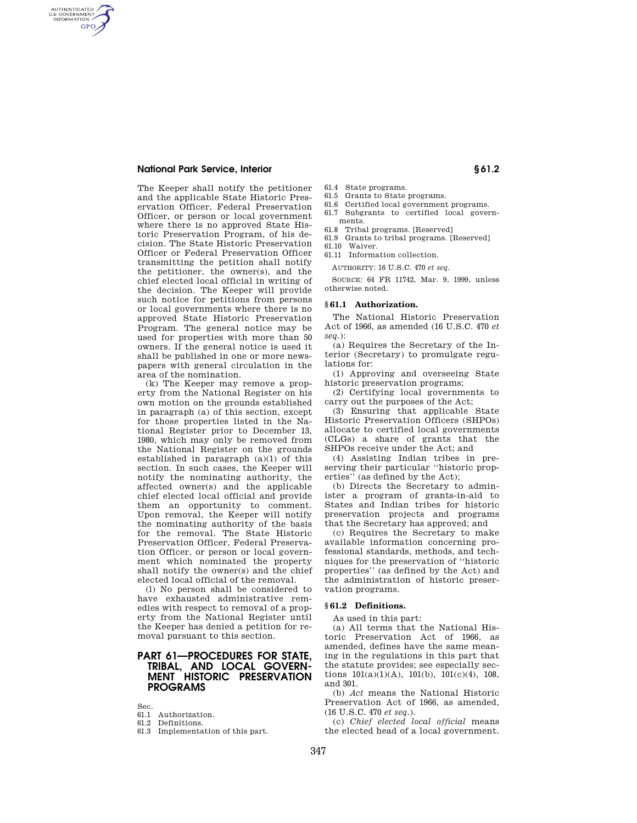AUTHENTICATED<br>U.S. GOVERNMENT<br>INFORMATION **GPO** 

> The Keeper shall notify the petitioner and the applicable State Historic Preservation Officer, Federal Preservation Officer, or person or local government where there is no approved State Historic Preservation Program, of his decision. The State Historic Preservation Officer or Federal Preservation Officer transmitting the petition shall notify the petitioner, the owner(s), and the chief elected local official in writing of the decision. The Keeper will provide such notice for petitions from persons or local governments where there is no approved State Historic Preservation Program. The general notice may be used for properties with more than 50 owners. If the general notice is used it shall be published in one or more newspapers with general circulation in the area of the nomination.

> (k) The Keeper may remove a property from the National Register on his own motion on the grounds established in paragraph (a) of this section, except for those properties listed in the National Register prior to December 13, 1980, which may only be removed from the National Register on the grounds established in paragraph (a)(1) of this section. In such cases, the Keeper will notify the nominating authority, the affected owner(s) and the applicable chief elected local official and provide them an opportunity to comment. Upon removal, the Keeper will notify the nominating authority of the basis for the removal. The State Historic Preservation Officer, Federal Preservation Officer, or person or local government which nominated the property shall notify the owner(s) and the chief elected local official of the removal.

(l) No person shall be considered to have exhausted administrative remedies with respect to removal of a property from the National Register until the Keeper has denied a petition for removal pursuant to this section.

# **PART 61—PROCEDURES FOR STATE, TRIBAL, AND LOCAL GOVERN-MENT HISTORIC PRESERVATION PROGRAMS**

Sec.

- 61.2 Definitions.
- 61.3 Implementation of this part.

61.4 State programs.

- 61.5 Grants to State programs.
- 61.6 Certified local government programs.
- 61.7 Subgrants to certified local governments.
- 61.8 Tribal programs. [Reserved]
- 61.9 Grants to tribal programs. [Reserved]
- 61.10 Waiver.

61.11 Information collection.

AUTHORITY: 16 U.S.C. 470 *et seq.* 

SOURCE: 64 FR 11742, Mar. 9, 1999, unless otherwise noted.

#### **§ 61.1 Authorization.**

The National Historic Preservation Act of 1966, as amended (16 U.S.C. 470 *et seq.*):

(a) Requires the Secretary of the Interior (Secretary) to promulgate regulations for:

(1) Approving and overseeing State historic preservation programs;

(2) Certifying local governments to carry out the purposes of the Act;

(3) Ensuring that applicable State Historic Preservation Officers (SHPOs) allocate to certified local governments (CLGs) a share of grants that the SHPOs receive under the Act; and

(4) Assisting Indian tribes in preserving their particular ''historic properties'' (as defined by the Act);

(b) Directs the Secretary to administer a program of grants-in-aid to States and Indian tribes for historic preservation projects and programs that the Secretary has approved; and

(c) Requires the Secretary to make available information concerning professional standards, methods, and techniques for the preservation of ''historic properties'' (as defined by the Act) and the administration of historic preservation programs.

## **§ 61.2 Definitions.**

As used in this part:

(a) All terms that the National Historic Preservation Act of 1966, as amended, defines have the same meaning in the regulations in this part that the statute provides; see especially sections  $101(a)(1)(A)$ ,  $101(b)$ ,  $101(c)(4)$ ,  $108$ , and 301.

(b) *Act* means the National Historic Preservation Act of 1966, as amended, (16 U.S.C. 470 *et seq.*).

(c) *Chief elected local official* means the elected head of a local government.

<sup>61.1</sup> Authorization.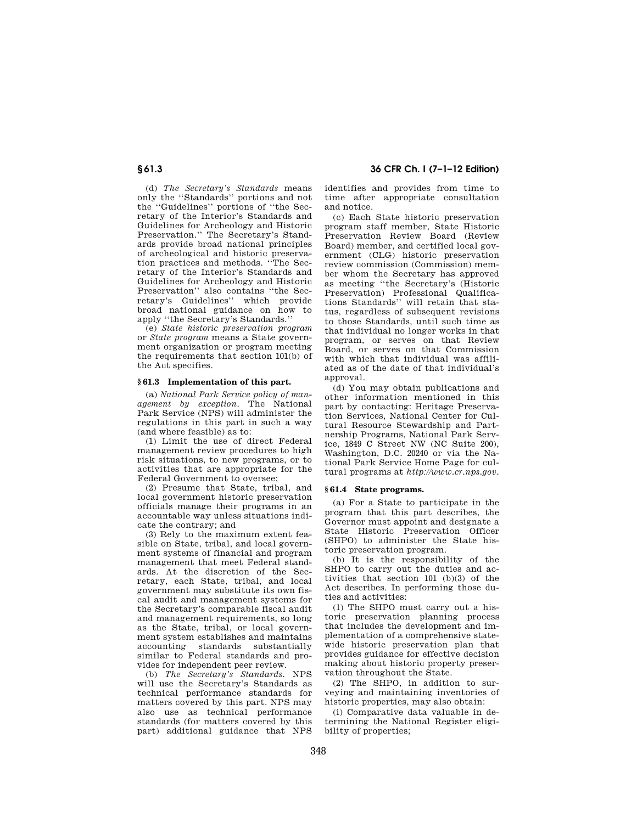(d) *The Secretary's Standards* means only the ''Standards'' portions and not the ''Guidelines'' portions of ''the Secretary of the Interior's Standards and Guidelines for Archeology and Historic Preservation.'' The Secretary's Standards provide broad national principles of archeological and historic preservation practices and methods. ''The Secretary of the Interior's Standards and Guidelines for Archeology and Historic Preservation'' also contains ''the Secretary's Guidelines'' which provide broad national guidance on how to apply ''the Secretary's Standards.''

(e) *State historic preservation program*  or *State program* means a State government organization or program meeting the requirements that section 101(b) of the Act specifies.

## **§ 61.3 Implementation of this part.**

(a) *National Park Service policy of management by exception.* The National Park Service (NPS) will administer the regulations in this part in such a way (and where feasible) as to:

(1) Limit the use of direct Federal management review procedures to high risk situations, to new programs, or to activities that are appropriate for the Federal Government to oversee;

(2) Presume that State, tribal, and local government historic preservation officials manage their programs in an accountable way unless situations indicate the contrary; and

(3) Rely to the maximum extent feasible on State, tribal, and local government systems of financial and program management that meet Federal standards. At the discretion of the Secretary, each State, tribal, and local government may substitute its own fiscal audit and management systems for the Secretary's comparable fiscal audit and management requirements, so long as the State, tribal, or local government system establishes and maintains accounting standards substantially similar to Federal standards and provides for independent peer review.

(b) *The Secretary's Standards.* NPS will use the Secretary's Standards as technical performance standards for matters covered by this part. NPS may also use as technical performance standards (for matters covered by this part) additional guidance that NPS

**§ 61.3 36 CFR Ch. I (7–1–12 Edition)** 

identifies and provides from time to time after appropriate consultation and notice.

(c) Each State historic preservation program staff member, State Historic Preservation Review Board (Review Board) member, and certified local government (CLG) historic preservation review commission (Commission) member whom the Secretary has approved as meeting ''the Secretary's (Historic Preservation) Professional Qualifications Standards'' will retain that status, regardless of subsequent revisions to those Standards, until such time as that individual no longer works in that program, or serves on that Review Board, or serves on that Commission with which that individual was affiliated as of the date of that individual's approval.

(d) You may obtain publications and other information mentioned in this part by contacting: Heritage Preservation Services, National Center for Cultural Resource Stewardship and Partnership Programs, National Park Service, 1849 C Street NW (NC Suite 200), Washington, D.C. 20240 or via the National Park Service Home Page for cultural programs at *http://www.cr.nps.gov.* 

#### **§ 61.4 State programs.**

(a) For a State to participate in the program that this part describes, the Governor must appoint and designate a State Historic Preservation Officer (SHPO) to administer the State historic preservation program.

(b) It is the responsibility of the SHPO to carry out the duties and activities that section 101 (b)(3) of the Act describes. In performing those duties and activities:

(1) The SHPO must carry out a historic preservation planning process that includes the development and implementation of a comprehensive statewide historic preservation plan that provides guidance for effective decision making about historic property preservation throughout the State.

(2) The SHPO, in addition to surveying and maintaining inventories of historic properties, may also obtain:

(i) Comparative data valuable in determining the National Register eligibility of properties;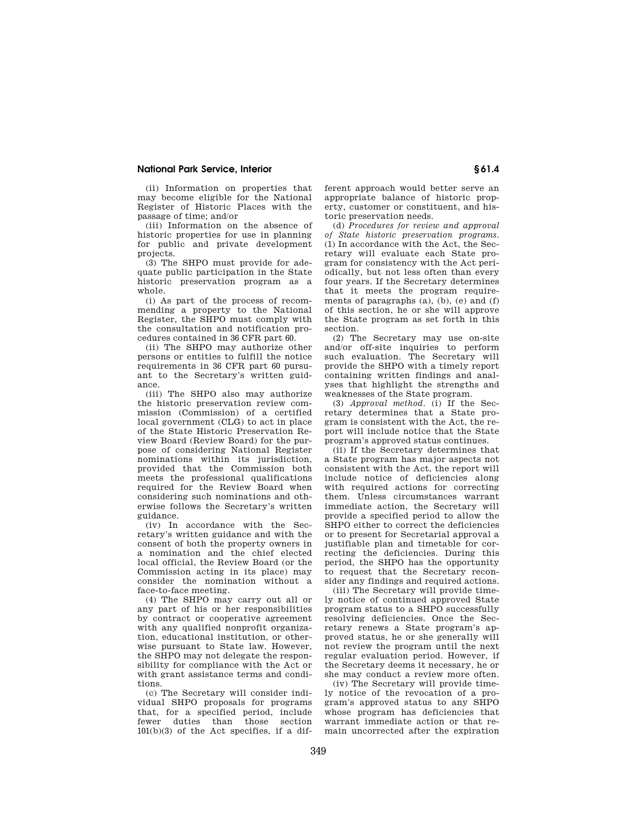(ii) Information on properties that may become eligible for the National Register of Historic Places with the passage of time; and/or

(iii) Information on the absence of historic properties for use in planning for public and private development projects.

(3) The SHPO must provide for adequate public participation in the State historic preservation program as a whole.

(i) As part of the process of recommending a property to the National Register, the SHPO must comply with the consultation and notification procedures contained in 36 CFR part 60.

(ii) The SHPO may authorize other persons or entities to fulfill the notice requirements in 36 CFR part 60 pursuant to the Secretary's written guidance.

(iii) The SHPO also may authorize the historic preservation review commission (Commission) of a certified local government (CLG) to act in place of the State Historic Preservation Review Board (Review Board) for the purpose of considering National Register nominations within its jurisdiction, provided that the Commission both meets the professional qualifications required for the Review Board when considering such nominations and otherwise follows the Secretary's written guidance.

(iv) In accordance with the Secretary's written guidance and with the consent of both the property owners in a nomination and the chief elected local official, the Review Board (or the Commission acting in its place) may consider the nomination without a face-to-face meeting.

(4) The SHPO may carry out all or any part of his or her responsibilities by contract or cooperative agreement with any qualified nonprofit organization, educational institution, or otherwise pursuant to State law. However, the SHPO may not delegate the responsibility for compliance with the Act or with grant assistance terms and conditions.

(c) The Secretary will consider individual SHPO proposals for programs that, for a specified period, include fewer duties than those section  $101(b)(3)$  of the Act specifies, if a different approach would better serve an appropriate balance of historic property, customer or constituent, and historic preservation needs.

(d) *Procedures for review and approval of State historic preservation programs.*  (1) In accordance with the Act, the Secretary will evaluate each State program for consistency with the Act periodically, but not less often than every four years. If the Secretary determines that it meets the program requirements of paragraphs  $(a)$ ,  $(b)$ ,  $(e)$  and  $(f)$ of this section, he or she will approve the State program as set forth in this section.

(2) The Secretary may use on-site and/or off-site inquiries to perform such evaluation. The Secretary will provide the SHPO with a timely report containing written findings and analyses that highlight the strengths and weaknesses of the State program.

(3) *Approval method.* (i) If the Secretary determines that a State program is consistent with the Act, the report will include notice that the State program's approved status continues.

(ii) If the Secretary determines that a State program has major aspects not consistent with the Act, the report will include notice of deficiencies along with required actions for correcting them. Unless circumstances warrant immediate action, the Secretary will provide a specified period to allow the SHPO either to correct the deficiencies or to present for Secretarial approval a justifiable plan and timetable for correcting the deficiencies. During this period, the SHPO has the opportunity to request that the Secretary reconsider any findings and required actions.

(iii) The Secretary will provide timely notice of continued approved State program status to a SHPO successfully resolving deficiencies. Once the Secretary renews a State program's approved status, he or she generally will not review the program until the next regular evaluation period. However, if the Secretary deems it necessary, he or she may conduct a review more often.

(iv) The Secretary will provide timely notice of the revocation of a program's approved status to any SHPO whose program has deficiencies that warrant immediate action or that remain uncorrected after the expiration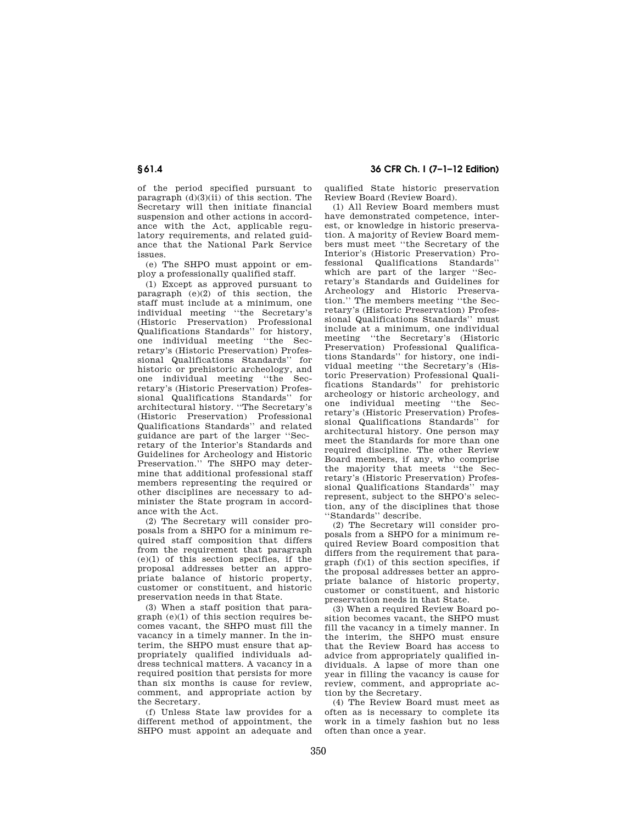of the period specified pursuant to paragraph  $(d)(3)(ii)$  of this section. The Secretary will then initiate financial suspension and other actions in accordance with the Act, applicable regulatory requirements, and related guidance that the National Park Service issues.

(e) The SHPO must appoint or employ a professionally qualified staff.

(1) Except as approved pursuant to paragraph (e)(2) of this section, the staff must include at a minimum, one individual meeting ''the Secretary's (Historic Preservation) Professional Qualifications Standards'' for history, one individual meeting ''the Secretary's (Historic Preservation) Professional Qualifications Standards'' for historic or prehistoric archeology, and one individual meeting ''the Secretary's (Historic Preservation) Professional Qualifications Standards'' for architectural history. ''The Secretary's (Historic Preservation) Professional Qualifications Standards'' and related guidance are part of the larger ''Secretary of the Interior's Standards and Guidelines for Archeology and Historic Preservation.'' The SHPO may determine that additional professional staff members representing the required or other disciplines are necessary to administer the State program in accordance with the Act.

(2) The Secretary will consider proposals from a SHPO for a minimum required staff composition that differs from the requirement that paragraph  $(e)(1)$  of this section specifies, if the proposal addresses better an appropriate balance of historic property, customer or constituent, and historic preservation needs in that State.

(3) When a staff position that paragraph (e)(1) of this section requires becomes vacant, the SHPO must fill the vacancy in a timely manner. In the interim, the SHPO must ensure that appropriately qualified individuals address technical matters. A vacancy in a required position that persists for more than six months is cause for review, comment, and appropriate action by the Secretary.

(f) Unless State law provides for a different method of appointment, the SHPO must appoint an adequate and

**§ 61.4 36 CFR Ch. I (7–1–12 Edition)** 

qualified State historic preservation Review Board (Review Board).

(1) All Review Board members must have demonstrated competence, interest, or knowledge in historic preservation. A majority of Review Board members must meet ''the Secretary of the Interior's (Historic Preservation) Professional Qualifications Standards'' which are part of the larger ''Secretary's Standards and Guidelines for Archeology and Historic Preservation.'' The members meeting ''the Secretary's (Historic Preservation) Professional Qualifications Standards'' must include at a minimum, one individual meeting ''the Secretary's (Historic Preservation) Professional Qualifications Standards'' for history, one individual meeting ''the Secretary's (Historic Preservation) Professional Qualifications Standards'' for prehistoric archeology or historic archeology, and one individual meeting ''the Secretary's (Historic Preservation) Professional Qualifications Standards'' for architectural history. One person may meet the Standards for more than one required discipline. The other Review Board members, if any, who comprise the majority that meets ''the Secretary's (Historic Preservation) Professional Qualifications Standards'' may represent, subject to the SHPO's selection, any of the disciplines that those ''Standards'' describe.

(2) The Secretary will consider proposals from a SHPO for a minimum required Review Board composition that differs from the requirement that paragraph (f)(1) of this section specifies, if the proposal addresses better an appropriate balance of historic property, customer or constituent, and historic preservation needs in that State.

(3) When a required Review Board position becomes vacant, the SHPO must fill the vacancy in a timely manner. In the interim, the SHPO must ensure that the Review Board has access to advice from appropriately qualified individuals. A lapse of more than one year in filling the vacancy is cause for review, comment, and appropriate action by the Secretary.

(4) The Review Board must meet as often as is necessary to complete its work in a timely fashion but no less often than once a year.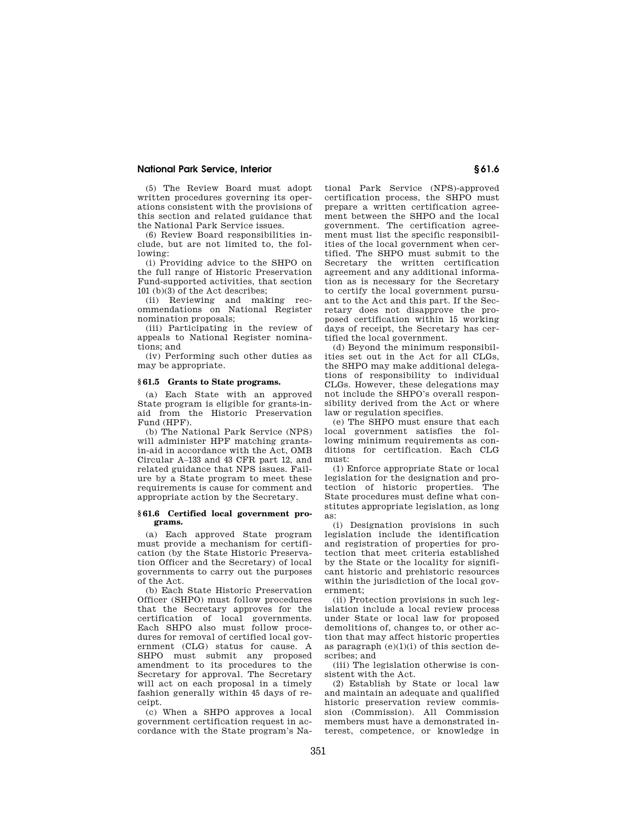(5) The Review Board must adopt written procedures governing its operations consistent with the provisions of this section and related guidance that the National Park Service issues.

(6) Review Board responsibilities include, but are not limited to, the following:

(i) Providing advice to the SHPO on the full range of Historic Preservation Fund-supported activities, that section 101 (b)(3) of the Act describes;

(ii) Reviewing and making recommendations on National Register nomination proposals;

(iii) Participating in the review of appeals to National Register nominations; and

(iv) Performing such other duties as may be appropriate.

## **§ 61.5 Grants to State programs.**

(a) Each State with an approved State program is eligible for grants-inaid from the Historic Preservation Fund (HPF).

(b) The National Park Service (NPS) will administer HPF matching grantsin-aid in accordance with the Act, OMB Circular A–133 and 43 CFR part 12, and related guidance that NPS issues. Failure by a State program to meet these requirements is cause for comment and appropriate action by the Secretary.

#### **§ 61.6 Certified local government programs.**

(a) Each approved State program must provide a mechanism for certification (by the State Historic Preservation Officer and the Secretary) of local governments to carry out the purposes of the Act.

(b) Each State Historic Preservation Officer (SHPO) must follow procedures that the Secretary approves for the certification of local governments. Each SHPO also must follow procedures for removal of certified local government (CLG) status for cause. A SHPO must submit any proposed amendment to its procedures to the Secretary for approval. The Secretary will act on each proposal in a timely fashion generally within 45 days of receipt.

(c) When a SHPO approves a local government certification request in accordance with the State program's National Park Service (NPS)-approved certification process, the SHPO must prepare a written certification agreement between the SHPO and the local government. The certification agreement must list the specific responsibilities of the local government when certified. The SHPO must submit to the Secretary the written certification agreement and any additional information as is necessary for the Secretary to certify the local government pursuant to the Act and this part. If the Secretary does not disapprove the proposed certification within 15 working days of receipt, the Secretary has certified the local government.

(d) Beyond the minimum responsibilities set out in the Act for all CLGs, the SHPO may make additional delegations of responsibility to individual CLGs. However, these delegations may not include the SHPO's overall responsibility derived from the Act or where law or regulation specifies.

(e) The SHPO must ensure that each local government satisfies the following minimum requirements as conditions for certification. Each CLG must:

(1) Enforce appropriate State or local legislation for the designation and protection of historic properties. The State procedures must define what constitutes appropriate legislation, as long as:

(i) Designation provisions in such legislation include the identification and registration of properties for protection that meet criteria established by the State or the locality for significant historic and prehistoric resources within the jurisdiction of the local government;

(ii) Protection provisions in such legislation include a local review process under State or local law for proposed demolitions of, changes to, or other action that may affect historic properties as paragraph  $(e)(1)(i)$  of this section describes; and

(iii) The legislation otherwise is consistent with the Act.

(2) Establish by State or local law and maintain an adequate and qualified historic preservation review commission (Commission). All Commission members must have a demonstrated interest, competence, or knowledge in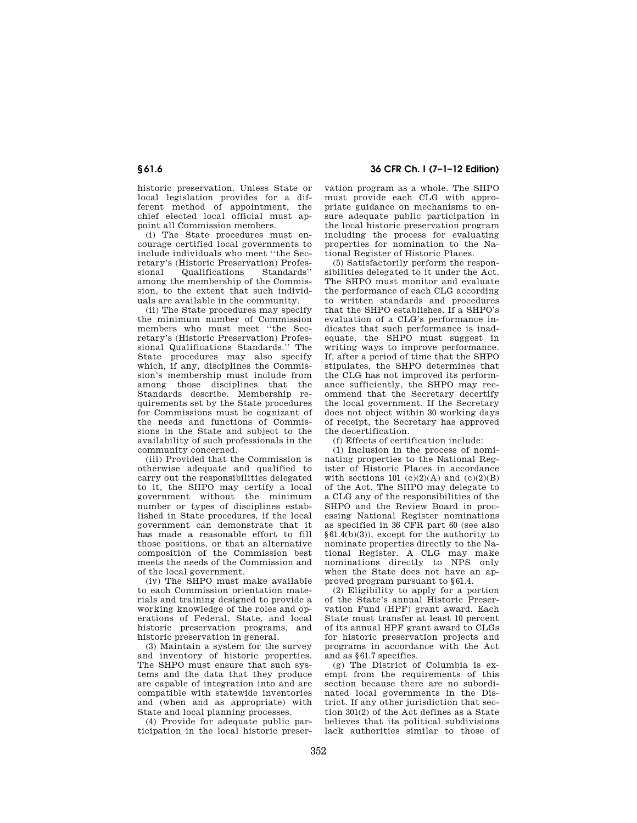historic preservation. Unless State or local legislation provides for a different method of appointment, the chief elected local official must appoint all Commission members.

(i) The State procedures must encourage certified local governments to include individuals who meet ''the Secretary's (Historic Preservation) Profes-Qualifications among the membership of the Commission, to the extent that such individuals are available in the community.

(ii) The State procedures may specify the minimum number of Commission members who must meet ''the Secretary's (Historic Preservation) Professional Qualifications Standards.'' The State procedures may also specify which, if any, disciplines the Commission's membership must include from among those disciplines that the Standards describe. Membership requirements set by the State procedures for Commissions must be cognizant of the needs and functions of Commissions in the State and subject to the availability of such professionals in the community concerned.

(iii) Provided that the Commission is otherwise adequate and qualified to carry out the responsibilities delegated to it, the SHPO may certify a local government without the minimum number or types of disciplines established in State procedures, if the local government can demonstrate that it has made a reasonable effort to fill those positions, or that an alternative composition of the Commission best meets the needs of the Commission and of the local government.

(iv) The SHPO must make available to each Commission orientation materials and training designed to provide a working knowledge of the roles and operations of Federal, State, and local historic preservation programs, and historic preservation in general.

(3) Maintain a system for the survey and inventory of historic properties. The SHPO must ensure that such systems and the data that they produce are capable of integration into and are compatible with statewide inventories and (when and as appropriate) with State and local planning processes.

(4) Provide for adequate public participation in the local historic preser-

**§ 61.6 36 CFR Ch. I (7–1–12 Edition)** 

vation program as a whole. The SHPO must provide each CLG with appropriate guidance on mechanisms to ensure adequate public participation in the local historic preservation program including the process for evaluating properties for nomination to the National Register of Historic Places.

(5) Satisfactorily perform the responsibilities delegated to it under the Act. The SHPO must monitor and evaluate the performance of each CLG according to written standards and procedures that the SHPO establishes. If a SHPO's evaluation of a CLG's performance indicates that such performance is inadequate, the SHPO must suggest in writing ways to improve performance. If, after a period of time that the SHPO stipulates, the SHPO determines that the CLG has not improved its performance sufficiently, the SHPO may recommend that the Secretary decertify the local government. If the Secretary does not object within 30 working days of receipt, the Secretary has approved the decertification.

(f) Effects of certification include:

(1) Inclusion in the process of nominating properties to the National Register of Historic Places in accordance with sections  $101$  (c)(2)(A) and (c)(2)(B) of the Act. The SHPO may delegate to a CLG any of the responsibilities of the SHPO and the Review Board in processing National Register nominations as specified in 36 CFR part 60 (see also §61.4(b)(3)), except for the authority to nominate properties directly to the National Register. A CLG may make nominations directly to NPS only when the State does not have an approved program pursuant to §61.4.

(2) Eligibility to apply for a portion of the State's annual Historic Preservation Fund (HPF) grant award. Each State must transfer at least 10 percent of its annual HPF grant award to CLGs for historic preservation projects and programs in accordance with the Act and as §61.7 specifies.

(g) The District of Columbia is exempt from the requirements of this section because there are no subordinated local governments in the District. If any other jurisdiction that section 301(2) of the Act defines as a State believes that its political subdivisions lack authorities similar to those of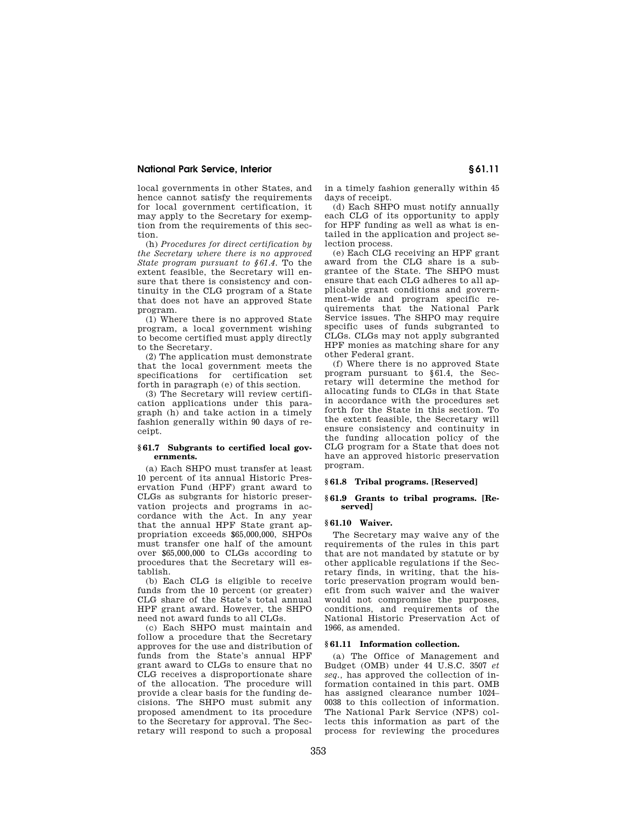local governments in other States, and hence cannot satisfy the requirements for local government certification, it may apply to the Secretary for exemption from the requirements of this section.

(h) *Procedures for direct certification by the Secretary where there is no approved State program pursuant to §61.4.* To the extent feasible, the Secretary will ensure that there is consistency and continuity in the CLG program of a State that does not have an approved State program.

(1) Where there is no approved State program, a local government wishing to become certified must apply directly to the Secretary.

(2) The application must demonstrate that the local government meets the specifications for certification set forth in paragraph (e) of this section.

(3) The Secretary will review certification applications under this paragraph (h) and take action in a timely fashion generally within 90 days of receipt.

#### **§ 61.7 Subgrants to certified local governments.**

(a) Each SHPO must transfer at least 10 percent of its annual Historic Preservation Fund (HPF) grant award to CLGs as subgrants for historic preservation projects and programs in accordance with the Act. In any year that the annual HPF State grant appropriation exceeds \$65,000,000, SHPOs must transfer one half of the amount over \$65,000,000 to CLGs according to procedures that the Secretary will establish.

(b) Each CLG is eligible to receive funds from the 10 percent (or greater) CLG share of the State's total annual HPF grant award. However, the SHPO need not award funds to all CLGs.

(c) Each SHPO must maintain and follow a procedure that the Secretary approves for the use and distribution of funds from the State's annual HPF grant award to CLGs to ensure that no CLG receives a disproportionate share of the allocation. The procedure will provide a clear basis for the funding decisions. The SHPO must submit any proposed amendment to its procedure to the Secretary for approval. The Secretary will respond to such a proposal

in a timely fashion generally within 45 days of receipt.

(d) Each SHPO must notify annually each CLG of its opportunity to apply for HPF funding as well as what is entailed in the application and project selection process.

(e) Each CLG receiving an HPF grant award from the CLG share is a subgrantee of the State. The SHPO must ensure that each CLG adheres to all applicable grant conditions and government-wide and program specific requirements that the National Park Service issues. The SHPO may require specific uses of funds subgranted to CLGs. CLGs may not apply subgranted HPF monies as matching share for any other Federal grant.

(f) Where there is no approved State program pursuant to §61.4, the Secretary will determine the method for allocating funds to CLGs in that State in accordance with the procedures set forth for the State in this section. To the extent feasible, the Secretary will ensure consistency and continuity in the funding allocation policy of the CLG program for a State that does not have an approved historic preservation program.

#### **§ 61.8 Tribal programs. [Reserved]**

#### **§ 61.9 Grants to tribal programs. [Reserved]**

#### **§ 61.10 Waiver.**

The Secretary may waive any of the requirements of the rules in this part that are not mandated by statute or by other applicable regulations if the Secretary finds, in writing, that the historic preservation program would benefit from such waiver and the waiver would not compromise the purposes, conditions, and requirements of the National Historic Preservation Act of 1966, as amended.

### **§ 61.11 Information collection.**

(a) The Office of Management and Budget (OMB) under 44 U.S.C. 3507 *et seq.,* has approved the collection of information contained in this part. OMB has assigned clearance number 1024– 0038 to this collection of information. The National Park Service (NPS) collects this information as part of the process for reviewing the procedures